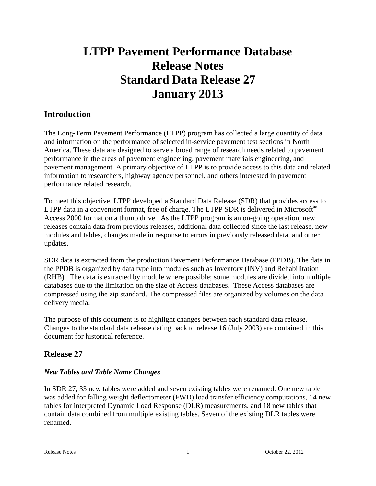# **LTPP Pavement Performance Database Release Notes Standard Data Release 27 January 2013**

# **Introduction**

The Long-Term Pavement Performance (LTPP) program has collected a large quantity of data and information on the performance of selected in-service pavement test sections in North America. These data are designed to serve a broad range of research needs related to pavement performance in the areas of pavement engineering, pavement materials engineering, and pavement management. A primary objective of LTPP is to provide access to this data and related information to researchers, highway agency personnel, and others interested in pavement performance related research.

To meet this objective, LTPP developed a Standard Data Release (SDR) that provides access to LTPP data in a convenient format, free of charge. The LTPP SDR is delivered in Microsoft<sup>®</sup> Access 2000 format on a thumb drive. As the LTPP program is an on-going operation, new releases contain data from previous releases, additional data collected since the last release, new modules and tables, changes made in response to errors in previously released data, and other updates.

SDR data is extracted from the production Pavement Performance Database (PPDB). The data in the PPDB is organized by data type into modules such as Inventory (INV) and Rehabilitation (RHB). The data is extracted by module where possible; some modules are divided into multiple databases due to the limitation on the size of Access databases. These Access databases are compressed using the zip standard. The compressed files are organized by volumes on the data delivery media.

The purpose of this document is to highlight changes between each standard data release. Changes to the standard data release dating back to release 16 (July 2003) are contained in this document for historical reference.

# **Release 27**

# *New Tables and Table Name Changes*

In SDR 27, 33 new tables were added and seven existing tables were renamed. One new table was added for falling weight deflectometer (FWD) load transfer efficiency computations, 14 new tables for interpreted Dynamic Load Response (DLR) measurements, and 18 new tables that contain data combined from multiple existing tables. Seven of the existing DLR tables were renamed.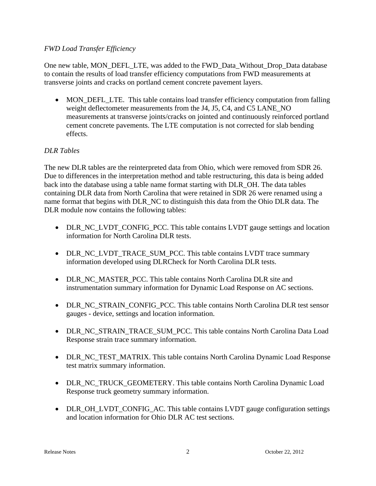#### *FWD Load Transfer Efficiency*

One new table, MON\_DEFL\_LTE, was added to the FWD\_Data\_Without\_Drop\_Data database to contain the results of load transfer efficiency computations from FWD measurements at transverse joints and cracks on portland cement concrete pavement layers.

• MON\_DEFL\_LTE. This table contains load transfer efficiency computation from falling weight deflectometer measurements from the J4, J5, C4, and C5 LANE\_NO measurements at transverse joints/cracks on jointed and continuously reinforced portland cement concrete pavements. The LTE computation is not corrected for slab bending effects.

# *DLR Tables*

The new DLR tables are the reinterpreted data from Ohio, which were removed from SDR 26. Due to differences in the interpretation method and table restructuring, this data is being added back into the database using a table name format starting with DLR\_OH. The data tables containing DLR data from North Carolina that were retained in SDR 26 were renamed using a name format that begins with DLR\_NC to distinguish this data from the Ohio DLR data. The DLR module now contains the following tables:

- DLR\_NC\_LVDT\_CONFIG\_PCC. This table contains LVDT gauge settings and location information for North Carolina DLR tests.
- DLR\_NC\_LVDT\_TRACE\_SUM\_PCC. This table contains LVDT trace summary information developed using DLRCheck for North Carolina DLR tests.
- DLR\_NC\_MASTER\_PCC. This table contains North Carolina DLR site and instrumentation summary information for Dynamic Load Response on AC sections.
- DLR\_NC\_STRAIN\_CONFIG\_PCC. This table contains North Carolina DLR test sensor gauges - device, settings and location information.
- DLR\_NC\_STRAIN\_TRACE\_SUM\_PCC. This table contains North Carolina Data Load Response strain trace summary information.
- DLR\_NC\_TEST\_MATRIX. This table contains North Carolina Dynamic Load Response test matrix summary information.
- DLR\_NC\_TRUCK\_GEOMETERY. This table contains North Carolina Dynamic Load Response truck geometry summary information.
- DLR\_OH\_LVDT\_CONFIG\_AC. This table contains LVDT gauge configuration settings and location information for Ohio DLR AC test sections.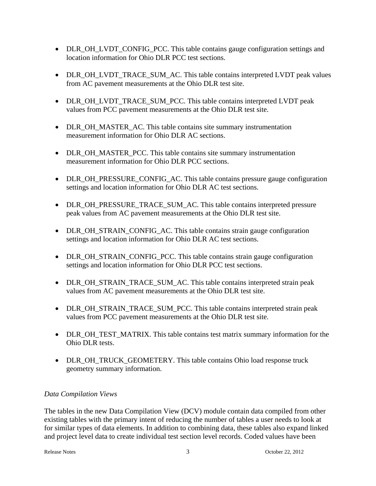- DLR\_OH\_LVDT\_CONFIG\_PCC. This table contains gauge configuration settings and location information for Ohio DLR PCC test sections.
- DLR\_OH\_LVDT\_TRACE\_SUM\_AC. This table contains interpreted LVDT peak values from AC pavement measurements at the Ohio DLR test site.
- DLR\_OH\_LVDT\_TRACE\_SUM\_PCC. This table contains interpreted LVDT peak values from PCC pavement measurements at the Ohio DLR test site.
- DLR\_OH\_MASTER\_AC. This table contains site summary instrumentation measurement information for Ohio DLR AC sections.
- DLR OH\_MASTER\_PCC. This table contains site summary instrumentation measurement information for Ohio DLR PCC sections.
- DLR\_OH\_PRESSURE\_CONFIG\_AC. This table contains pressure gauge configuration settings and location information for Ohio DLR AC test sections.
- DLR\_OH\_PRESSURE\_TRACE\_SUM\_AC. This table contains interpreted pressure peak values from AC pavement measurements at the Ohio DLR test site.
- DLR\_OH\_STRAIN\_CONFIG\_AC. This table contains strain gauge configuration settings and location information for Ohio DLR AC test sections.
- DLR\_OH\_STRAIN\_CONFIG\_PCC. This table contains strain gauge configuration settings and location information for Ohio DLR PCC test sections.
- DLR\_OH\_STRAIN\_TRACE\_SUM\_AC. This table contains interpreted strain peak values from AC pavement measurements at the Ohio DLR test site.
- DLR\_OH\_STRAIN\_TRACE\_SUM\_PCC. This table contains interpreted strain peak values from PCC pavement measurements at the Ohio DLR test site.
- DLR\_OH\_TEST\_MATRIX. This table contains test matrix summary information for the Ohio DLR tests.
- DLR\_OH\_TRUCK\_GEOMETERY. This table contains Ohio load response truck geometry summary information.

# *Data Compilation Views*

The tables in the new Data Compilation View (DCV) module contain data compiled from other existing tables with the primary intent of reducing the number of tables a user needs to look at for similar types of data elements. In addition to combining data, these tables also expand linked and project level data to create individual test section level records. Coded values have been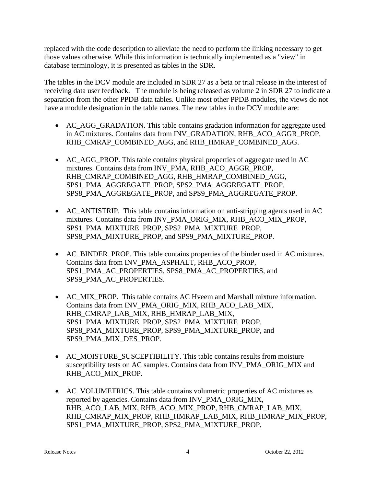replaced with the code description to alleviate the need to perform the linking necessary to get those values otherwise. While this information is technically implemented as a "view" in database terminology, it is presented as tables in the SDR.

The tables in the DCV module are included in SDR 27 as a beta or trial release in the interest of receiving data user feedback. The module is being released as volume 2 in SDR 27 to indicate a separation from the other PPDB data tables. Unlike most other PPDB modules, the views do not have a module designation in the table names. The new tables in the DCV module are:

- AC\_AGG\_GRADATION. This table contains gradation information for aggregate used in AC mixtures. Contains data from INV\_GRADATION, RHB\_ACO\_AGGR\_PROP, RHB\_CMRAP\_COMBINED\_AGG, and RHB\_HMRAP\_COMBINED\_AGG.
- AC AGG PROP. This table contains physical properties of aggregate used in AC mixtures. Contains data from INV\_PMA, RHB\_ACO\_AGGR\_PROP, RHB\_CMRAP\_COMBINED\_AGG, RHB\_HMRAP\_COMBINED\_AGG, SPS1\_PMA\_AGGREGATE\_PROP, SPS2\_PMA\_AGGREGATE\_PROP, SPS8\_PMA\_AGGREGATE\_PROP, and SPS9\_PMA\_AGGREGATE\_PROP.
- AC ANTISTRIP. This table contains information on anti-stripping agents used in AC mixtures. Contains data from INV\_PMA\_ORIG\_MIX, RHB\_ACO\_MIX\_PROP, SPS1\_PMA\_MIXTURE\_PROP, SPS2\_PMA\_MIXTURE\_PROP, SPS8\_PMA\_MIXTURE\_PROP, and SPS9\_PMA\_MIXTURE\_PROP.
- AC BINDER PROP. This table contains properties of the binder used in AC mixtures. Contains data from INV\_PMA\_ASPHALT, RHB\_ACO\_PROP, SPS1\_PMA\_AC\_PROPERTIES, SPS8\_PMA\_AC\_PROPERTIES, and SPS9\_PMA\_AC\_PROPERTIES.
- AC\_MIX\_PROP. This table contains AC Hveem and Marshall mixture information. Contains data from INV\_PMA\_ORIG\_MIX, RHB\_ACO\_LAB\_MIX, RHB\_CMRAP\_LAB\_MIX, RHB\_HMRAP\_LAB\_MIX, SPS1\_PMA\_MIXTURE\_PROP, SPS2\_PMA\_MIXTURE\_PROP, SPS8\_PMA\_MIXTURE\_PROP, SPS9\_PMA\_MIXTURE\_PROP, and SPS9\_PMA\_MIX\_DES\_PROP.
- AC MOISTURE SUSCEPTIBILITY. This table contains results from moisture susceptibility tests on AC samples. Contains data from INV\_PMA\_ORIG\_MIX and RHB\_ACO\_MIX\_PROP.
- AC\_VOLUMETRICS. This table contains volumetric properties of AC mixtures as reported by agencies. Contains data from INV\_PMA\_ORIG\_MIX, RHB\_ACO\_LAB\_MIX, RHB\_ACO\_MIX\_PROP, RHB\_CMRAP\_LAB\_MIX, RHB\_CMRAP\_MIX\_PROP, RHB\_HMRAP\_LAB\_MIX, RHB\_HMRAP\_MIX\_PROP, SPS1\_PMA\_MIXTURE\_PROP, SPS2\_PMA\_MIXTURE\_PROP,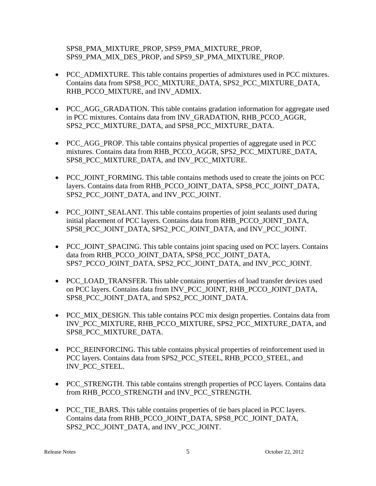SPS8\_PMA\_MIXTURE\_PROP, SPS9\_PMA\_MIXTURE\_PROP, SPS9\_PMA\_MIX\_DES\_PROP, and SPS9\_SP\_PMA\_MIXTURE\_PROP.

- PCC\_ADMIXTURE. This table contains properties of admixtures used in PCC mixtures. Contains data from SPS8\_PCC\_MIXTURE\_DATA, SPS2\_PCC\_MIXTURE\_DATA, RHB\_PCCO\_MIXTURE, and INV\_ADMIX.
- PCC\_AGG\_GRADATION. This table contains gradation information for aggregate used in PCC mixtures. Contains data from INV\_GRADATION, RHB\_PCCO\_AGGR, SPS2\_PCC\_MIXTURE\_DATA, and SPS8\_PCC\_MIXTURE\_DATA.
- PCC\_AGG\_PROP. This table contains physical properties of aggregate used in PCC mixtures. Contains data from RHB\_PCCO\_AGGR, SPS2\_PCC\_MIXTURE\_DATA, SPS8\_PCC\_MIXTURE\_DATA, and INV\_PCC\_MIXTURE.
- PCC JOINT FORMING. This table contains methods used to create the joints on PCC layers. Contains data from RHB\_PCCO\_JOINT\_DATA, SPS8\_PCC\_JOINT\_DATA, SPS2\_PCC\_JOINT\_DATA, and INV\_PCC\_JOINT.
- PCC JOINT SEALANT. This table contains properties of joint sealants used during initial placement of PCC layers. Contains data from RHB\_PCCO\_JOINT\_DATA, SPS8\_PCC\_JOINT\_DATA, SPS2\_PCC\_JOINT\_DATA, and INV\_PCC\_JOINT.
- PCC JOINT SPACING. This table contains joint spacing used on PCC layers. Contains data from RHB\_PCCO\_JOINT\_DATA, SPS8\_PCC\_JOINT\_DATA, SPS7\_PCCO\_JOINT\_DATA, SPS2\_PCC\_JOINT\_DATA, and INV\_PCC\_JOINT.
- PCC\_LOAD\_TRANSFER. This table contains properties of load transfer devices used on PCC layers. Contains data from INV\_PCC\_JOINT, RHB\_PCCO\_JOINT\_DATA, SPS8\_PCC\_JOINT\_DATA, and SPS2\_PCC\_JOINT\_DATA.
- PCC MIX DESIGN. This table contains PCC mix design properties. Contains data from INV\_PCC\_MIXTURE, RHB\_PCCO\_MIXTURE, SPS2\_PCC\_MIXTURE\_DATA, and SPS8\_PCC\_MIXTURE\_DATA.
- PCC\_REINFORCING. This table contains physical properties of reinforcement used in PCC layers. Contains data from SPS2\_PCC\_STEEL, RHB\_PCCO\_STEEL, and INV\_PCC\_STEEL.
- PCC\_STRENGTH. This table contains strength properties of PCC layers. Contains data from RHB\_PCCO\_STRENGTH and INV\_PCC\_STRENGTH.
- PCC TIE BARS. This table contains properties of tie bars placed in PCC layers. Contains data from RHB\_PCCO\_JOINT\_DATA, SPS8\_PCC\_JOINT\_DATA, SPS2\_PCC\_JOINT\_DATA, and INV\_PCC\_JOINT.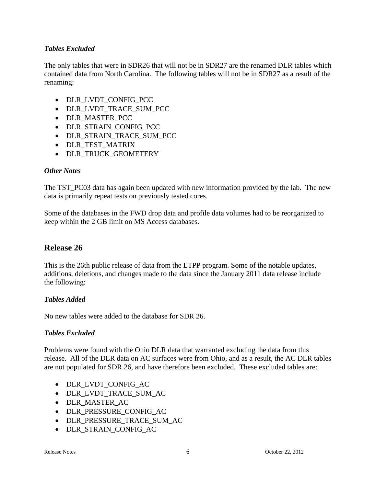# *Tables Excluded*

The only tables that were in SDR26 that will not be in SDR27 are the renamed DLR tables which contained data from North Carolina. The following tables will not be in SDR27 as a result of the renaming:

- DLR LVDT CONFIG PCC
- DLR\_LVDT\_TRACE\_SUM\_PCC
- DLR MASTER PCC
- DLR STRAIN CONFIG PCC
- DLR STRAIN TRACE SUM PCC
- DLR\_TEST\_MATRIX
- DLR\_TRUCK\_GEOMETERY

# *Other Notes*

The TST\_PC03 data has again been updated with new information provided by the lab. The new data is primarily repeat tests on previously tested cores.

Some of the databases in the FWD drop data and profile data volumes had to be reorganized to keep within the 2 GB limit on MS Access databases.

# **Release 26**

This is the 26th public release of data from the LTPP program. Some of the notable updates, additions, deletions, and changes made to the data since the January 2011 data release include the following:

# *Tables Added*

No new tables were added to the database for SDR 26.

# *Tables Excluded*

Problems were found with the Ohio DLR data that warranted excluding the data from this release. All of the DLR data on AC surfaces were from Ohio, and as a result, the AC DLR tables are not populated for SDR 26, and have therefore been excluded. These excluded tables are:

- DLR\_LVDT\_CONFIG\_AC
- DLR\_LVDT\_TRACE\_SUM\_AC
- DLR\_MASTER\_AC
- DLR\_PRESSURE\_CONFIG\_AC
- DLR\_PRESSURE\_TRACE\_SUM\_AC
- DLR STRAIN CONFIG AC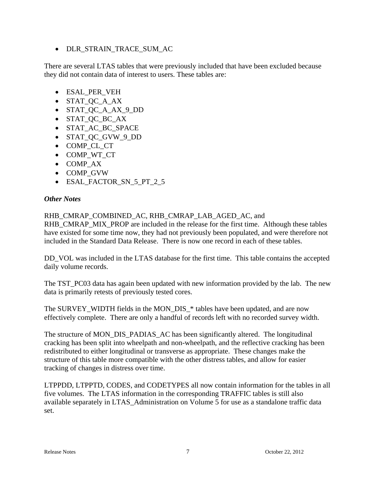DLR\_STRAIN\_TRACE\_SUM\_AC

There are several LTAS tables that were previously included that have been excluded because they did not contain data of interest to users. These tables are:

- ESAL PER VEH
- STAT\_QC\_A\_AX
- STAT\_QC\_A\_AX\_9\_DD
- STAT\_QC\_BC\_AX
- STAT\_AC\_BC\_SPACE
- STAT QC GVW 9 DD
- COMP\_CL\_CT
- COMP WT CT
- COMP AX
- COMP GVW
- ESAL\_FACTOR\_SN\_5\_PT\_2\_5

#### *Other Notes*

#### RHB\_CMRAP\_COMBINED\_AC, RHB\_CMRAP\_LAB\_AGED\_AC, and

RHB\_CMRAP\_MIX\_PROP are included in the release for the first time. Although these tables have existed for some time now, they had not previously been populated, and were therefore not included in the Standard Data Release. There is now one record in each of these tables.

DD VOL was included in the LTAS database for the first time. This table contains the accepted daily volume records.

The TST\_PC03 data has again been updated with new information provided by the lab. The new data is primarily retests of previously tested cores.

The SURVEY WIDTH fields in the MON DIS \* tables have been updated, and are now effectively complete. There are only a handful of records left with no recorded survey width.

The structure of MON\_DIS\_PADIAS\_AC has been significantly altered. The longitudinal cracking has been split into wheelpath and non-wheelpath, and the reflective cracking has been redistributed to either longitudinal or transverse as appropriate. These changes make the structure of this table more compatible with the other distress tables, and allow for easier tracking of changes in distress over time.

LTPPDD, LTPPTD, CODES, and CODETYPES all now contain information for the tables in all five volumes. The LTAS information in the corresponding TRAFFIC tables is still also available separately in LTAS\_Administration on Volume 5 for use as a standalone traffic data set.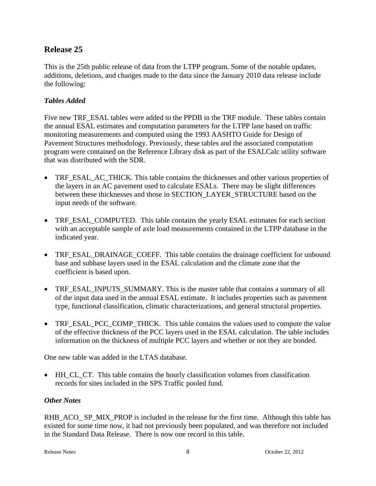# **Release 25**

This is the 25th public release of data from the LTPP program. Some of the notable updates, additions, deletions, and changes made to the data since the January 2010 data release include the following:

#### *Tables Added*

Five new TRF\_ESAL tables were added to the PPDB in the TRF module. These tables contain the annual ESAL estimates and computation parameters for the LTPP lane based on traffic monitoring measurements and computed using the 1993 AASHTO Guide for Design of Pavement Structures methodology. Previously, these tables and the associated computation program were contained on the Reference Library disk as part of the ESALCalc utility software that was distributed with the SDR.

- TRF ESAL AC THICK. This table contains the thicknesses and other various properties of the layers in an AC pavement used to calculate ESALs. There may be slight differences between these thicknesses and those in SECTION\_LAYER\_STRUCTURE based on the input needs of the software.
- TRF ESAL COMPUTED. This table contains the yearly ESAL estimates for each section with an acceptable sample of axle load measurements contained in the LTPP database in the indicated year.
- TRF\_ESAL\_DRAINAGE\_COEFF. This table contains the drainage coefficient for unbound base and subbase layers used in the ESAL calculation and the climate zone that the coefficient is based upon.
- TRF\_ESAL\_INPUTS\_SUMMARY. This is the master table that contains a summary of all of the input data used in the annual ESAL estimate. It includes properties such as pavement type, functional classification, climatic characterizations, and general structural properties.
- TRF\_ESAL\_PCC\_COMP\_THICK. This table contains the values used to compute the value of the effective thickness of the PCC layers used in the ESAL calculation. The table includes information on the thickness of multiple PCC layers and whether or not they are bonded.

One new table was added in the LTAS database.

 HH\_CL\_CT. This table contains the hourly classification volumes from classification records for sites included in the SPS Traffic pooled fund.

#### *Other Notes*

RHB\_ACO\_ SP\_MIX\_PROP is included in the release for the first time. Although this table has existed for some time now, it had not previously been populated, and was therefore not included in the Standard Data Release. There is now one record in this table.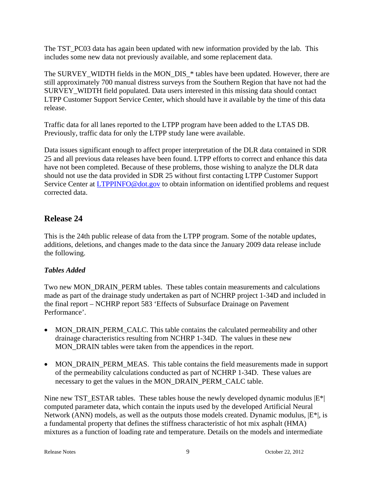The TST\_PC03 data has again been updated with new information provided by the lab. This includes some new data not previously available, and some replacement data.

The SURVEY\_WIDTH fields in the MON\_DIS\_\* tables have been updated. However, there are still approximately 700 manual distress surveys from the Southern Region that have not had the SURVEY\_WIDTH field populated. Data users interested in this missing data should contact LTPP Customer Support Service Center, which should have it available by the time of this data release.

Traffic data for all lanes reported to the LTPP program have been added to the LTAS DB. Previously, traffic data for only the LTPP study lane were available.

Data issues significant enough to affect proper interpretation of the DLR data contained in SDR 25 and all previous data releases have been found. LTPP efforts to correct and enhance this data have not been completed. Because of these problems, those wishing to analyze the DLR data should not use the data provided in SDR 25 without first contacting LTPP Customer Support Service Center at LTPPINFO@dot.gov to obtain information on identified problems and request corrected data.

# **Release 24**

This is the 24th public release of data from the LTPP program. Some of the notable updates, additions, deletions, and changes made to the data since the January 2009 data release include the following.

# *Tables Added*

Two new MON\_DRAIN\_PERM tables. These tables contain measurements and calculations made as part of the drainage study undertaken as part of NCHRP project 1-34D and included in the final report – NCHRP report 583 'Effects of Subsurface Drainage on Pavement Performance'.

- MON\_DRAIN\_PERM\_CALC. This table contains the calculated permeability and other drainage characteristics resulting from NCHRP 1-34D. The values in these new MON\_DRAIN tables were taken from the appendices in the report.
- MON\_DRAIN\_PERM\_MEAS. This table contains the field measurements made in support of the permeability calculations conducted as part of NCHRP 1-34D. These values are necessary to get the values in the MON\_DRAIN\_PERM\_CALC table.

Nine new TST\_ESTAR tables. These tables house the newly developed dynamic modulus  $|E^*|$ computed parameter data, which contain the inputs used by the developed Artificial Neural Network (ANN) models, as well as the outputs those models created. Dynamic modulus,  $|E^*|$ , is a fundamental property that defines the stiffness characteristic of hot mix asphalt (HMA) mixtures as a function of loading rate and temperature. Details on the models and intermediate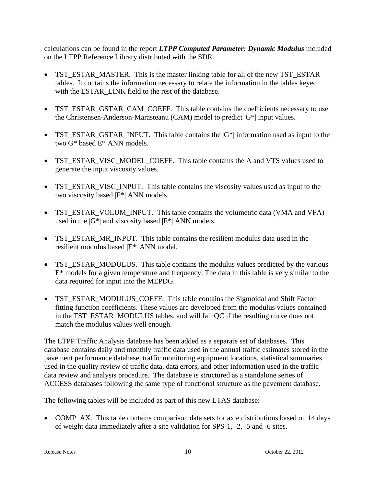calculations can be found in the report *LTPP Computed Parameter: Dynamic Modulus* included on the LTPP Reference Library distributed with the SDR.

- TST\_ESTAR\_MASTER. This is the master linking table for all of the new TST\_ESTAR tables. It contains the information necessary to relate the information in the tables keyed with the ESTAR\_LINK field to the rest of the database.
- TST\_ESTAR\_GSTAR\_CAM\_COEFF. This table contains the coefficients necessary to use the Christensen-Anderson-Marasteanu (CAM) model to predict  $|G^*|$  input values.
- TST\_ESTAR\_GSTAR\_INPUT. This table contains the  $|G^*|$  information used as input to the two G\* based E\* ANN models.
- TST\_ESTAR\_VISC\_MODEL\_COEFF. This table contains the A and VTS values used to generate the input viscosity values.
- TST\_ESTAR\_VISC\_INPUT. This table contains the viscosity values used as input to the two viscosity based |E\*| ANN models.
- TST\_ESTAR\_VOLUM\_INPUT. This table contains the volumetric data (VMA and VFA) used in the  $|G^*|$  and viscosity based  $|E^*|$  ANN models.
- TST\_ESTAR\_MR\_INPUT. This table contains the resilient modulus data used in the resilient modulus based |E\*| ANN model.
- TST ESTAR MODULUS. This table contains the modulus values predicted by the various E\* models for a given temperature and frequency. The data in this table is very similar to the data required for input into the MEPDG.
- TST\_ESTAR\_MODULUS\_COEFF. This table contains the Sigmoidal and Shift Factor fitting function coefficients. These values are developed from the modulus values contained in the TST\_ESTAR\_MODULUS tables, and will fail QC if the resulting curve does not match the modulus values well enough.

The LTPP Traffic Analysis database has been added as a separate set of databases. This database contains daily and monthly traffic data used in the annual traffic estimates stored in the pavement performance database, traffic monitoring equipment locations, statistical summaries used in the quality review of traffic data, data errors, and other information used in the traffic data review and analysis procedure. The database is structured as a standalone series of ACCESS databases following the same type of functional structure as the pavement database.

The following tables will be included as part of this new LTAS database:

• COMP\_AX. This table contains comparison data sets for axle distributions based on 14 days of weight data immediately after a site validation for SPS-1, -2, -5 and -6 sites.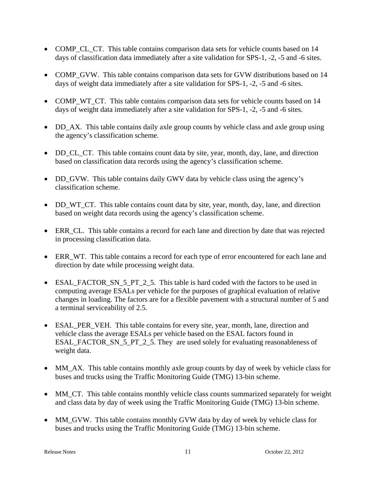- COMP CL CT. This table contains comparison data sets for vehicle counts based on 14 days of classification data immediately after a site validation for SPS-1, -2, -5 and -6 sites.
- COMP GVW. This table contains comparison data sets for GVW distributions based on 14 days of weight data immediately after a site validation for SPS-1, -2, -5 and -6 sites.
- COMP\_WT\_CT. This table contains comparison data sets for vehicle counts based on 14 days of weight data immediately after a site validation for SPS-1, -2, -5 and -6 sites.
- DD\_AX. This table contains daily axle group counts by vehicle class and axle group using the agency's classification scheme.
- DD CL CT. This table contains count data by site, year, month, day, lane, and direction based on classification data records using the agency's classification scheme.
- DD\_GVW. This table contains daily GWV data by vehicle class using the agency's classification scheme.
- DD WT CT. This table contains count data by site, year, month, day, lane, and direction based on weight data records using the agency's classification scheme.
- ERR\_CL. This table contains a record for each lane and direction by date that was rejected in processing classification data.
- ERR\_WT. This table contains a record for each type of error encountered for each lane and direction by date while processing weight data.
- ESAL FACTOR SN 5 PT 2 5. This table is hard coded with the factors to be used in computing average ESALs per vehicle for the purposes of graphical evaluation of relative changes in loading. The factors are for a flexible pavement with a structural number of 5 and a terminal serviceability of 2.5.
- ESAL PER VEH. This table contains for every site, year, month, lane, direction and vehicle class the average ESALs per vehicle based on the ESAL factors found in ESAL\_FACTOR\_SN\_5\_PT\_2\_5. They\_are used solely for evaluating reasonableness of weight data.
- MM\_AX. This table contains monthly axle group counts by day of week by vehicle class for buses and trucks using the Traffic Monitoring Guide (TMG) 13-bin scheme.
- MM\_CT. This table contains monthly vehicle class counts summarized separately for weight and class data by day of week using the Traffic Monitoring Guide (TMG) 13-bin scheme.
- MM\_GVW. This table contains monthly GVW data by day of week by vehicle class for buses and trucks using the Traffic Monitoring Guide (TMG) 13-bin scheme.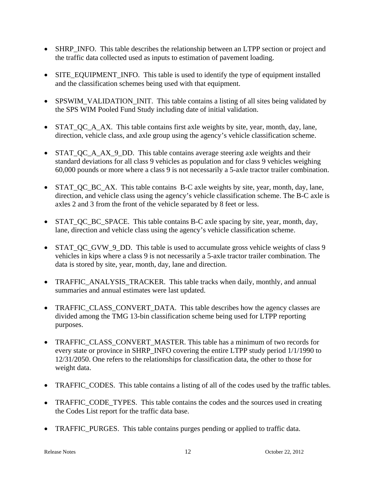- SHRP INFO. This table describes the relationship between an LTPP section or project and the traffic data collected used as inputs to estimation of pavement loading.
- SITE EQUIPMENT INFO. This table is used to identify the type of equipment installed and the classification schemes being used with that equipment.
- SPSWIM\_VALIDATION\_INIT. This table contains a listing of all sites being validated by the SPS WIM Pooled Fund Study including date of initial validation.
- STAT QC A AX. This table contains first axle weights by site, year, month, day, lane, direction, vehicle class, and axle group using the agency's vehicle classification scheme.
- STAT OC A AX 9 DD. This table contains average steering axle weights and their standard deviations for all class 9 vehicles as population and for class 9 vehicles weighing 60,000 pounds or more where a class 9 is not necessarily a 5-axle tractor trailer combination.
- STAT QC BC AX. This table contains B-C axle weights by site, year, month, day, lane, direction, and vehicle class using the agency's vehicle classification scheme. The B-C axle is axles 2 and 3 from the front of the vehicle separated by 8 feet or less.
- STAT QC BC SPACE. This table contains B-C axle spacing by site, year, month, day, lane, direction and vehicle class using the agency's vehicle classification scheme.
- STAT\_QC\_GVW\_9\_DD. This table is used to accumulate gross vehicle weights of class 9 vehicles in kips where a class 9 is not necessarily a 5-axle tractor trailer combination. The data is stored by site, year, month, day, lane and direction.
- TRAFFIC ANALYSIS TRACKER. This table tracks when daily, monthly, and annual summaries and annual estimates were last updated.
- TRAFFIC CLASS CONVERT DATA. This table describes how the agency classes are divided among the TMG 13-bin classification scheme being used for LTPP reporting purposes.
- TRAFFIC CLASS CONVERT MASTER. This table has a minimum of two records for every state or province in SHRP\_INFO covering the entire LTPP study period 1/1/1990 to 12/31/2050. One refers to the relationships for classification data, the other to those for weight data.
- TRAFFIC CODES. This table contains a listing of all of the codes used by the traffic tables.
- TRAFFIC CODE TYPES. This table contains the codes and the sources used in creating the Codes List report for the traffic data base.
- TRAFFIC\_PURGES. This table contains purges pending or applied to traffic data.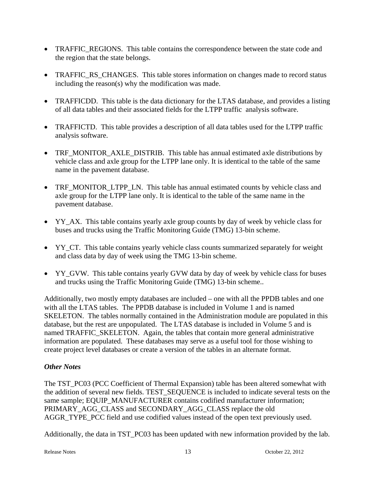- TRAFFIC\_REGIONS. This table contains the correspondence between the state code and the region that the state belongs.
- TRAFFIC\_RS\_CHANGES. This table stores information on changes made to record status including the reason(s) why the modification was made.
- TRAFFICDD. This table is the data dictionary for the LTAS database, and provides a listing of all data tables and their associated fields for the LTPP traffic analysis software.
- TRAFFICTD. This table provides a description of all data tables used for the LTPP traffic analysis software.
- TRF MONITOR AXLE DISTRIB. This table has annual estimated axle distributions by vehicle class and axle group for the LTPP lane only. It is identical to the table of the same name in the pavement database.
- TRF\_MONITOR\_LTPP\_LN. This table has annual estimated counts by vehicle class and axle group for the LTPP lane only. It is identical to the table of the same name in the pavement database.
- YY\_AX. This table contains yearly axle group counts by day of week by vehicle class for buses and trucks using the Traffic Monitoring Guide (TMG) 13-bin scheme.
- YY CT. This table contains yearly vehicle class counts summarized separately for weight and class data by day of week using the TMG 13-bin scheme.
- YY\_GVW. This table contains yearly GVW data by day of week by vehicle class for buses and trucks using the Traffic Monitoring Guide (TMG) 13-bin scheme..

Additionally, two mostly empty databases are included – one with all the PPDB tables and one with all the LTAS tables. The PPDB database is included in Volume 1 and is named SKELETON. The tables normally contained in the Administration module are populated in this database, but the rest are unpopulated. The LTAS database is included in Volume 5 and is named TRAFFIC\_SKELETON. Again, the tables that contain more general administrative information are populated. These databases may serve as a useful tool for those wishing to create project level databases or create a version of the tables in an alternate format.

# *Other Notes*

The TST\_PC03 (PCC Coefficient of Thermal Expansion) table has been altered somewhat with the addition of several new fields. TEST\_SEQUENCE is included to indicate several tests on the same sample; EQUIP\_MANUFACTURER contains codified manufacturer information; PRIMARY\_AGG\_CLASS and SECONDARY\_AGG\_CLASS replace the old AGGR\_TYPE\_PCC field and use codified values instead of the open text previously used.

Additionally, the data in TST\_PC03 has been updated with new information provided by the lab.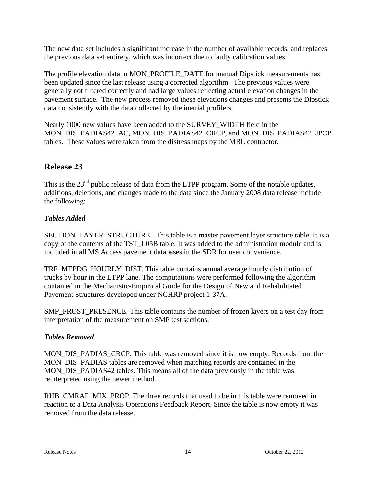The new data set includes a significant increase in the number of available records, and replaces the previous data set entirely, which was incorrect due to faulty calibration values.

The profile elevation data in MON\_PROFILE\_DATE for manual Dipstick measurements has been updated since the last release using a corrected algorithm. The previous values were generally not filtered correctly and had large values reflecting actual elevation changes in the pavement surface. The new process removed these elevations changes and presents the Dipstick data consistently with the data collected by the inertial profilers.

Nearly 1000 new values have been added to the SURVEY\_WIDTH field in the MON\_DIS\_PADIAS42\_AC, MON\_DIS\_PADIAS42\_CRCP, and MON\_DIS\_PADIAS42\_JPCP tables. These values were taken from the distress maps by the MRL contractor.

# **Release 23**

This is the 23<sup>nd</sup> public release of data from the LTPP program. Some of the notable updates, additions, deletions, and changes made to the data since the January 2008 data release include the following:

# *Tables Added*

SECTION\_LAYER\_STRUCTURE . This table is a master pavement layer structure table. It is a copy of the contents of the TST\_L05B table. It was added to the administration module and is included in all MS Access pavement databases in the SDR for user convenience.

TRF\_MEPDG\_HOURLY\_DIST. This table contains annual average hourly distribution of trucks by hour in the LTPP lane. The computations were performed following the algorithm contained in the Mechanistic-Empirical Guide for the Design of New and Rehabilitated Pavement Structures developed under NCHRP project 1-37A.

SMP\_FROST\_PRESENCE. This table contains the number of frozen layers on a test day from interpretation of the measurement on SMP test sections.

# *Tables Removed*

MON\_DIS\_PADIAS\_CRCP. This table was removed since it is now empty. Records from the MON DIS PADIAS tables are removed when matching records are contained in the MON\_DIS\_PADIAS42 tables. This means all of the data previously in the table was reinterpreted using the newer method.

RHB\_CMRAP\_MIX\_PROP. The three records that used to be in this table were removed in reaction to a Data Analysis Operations Feedback Report. Since the table is now empty it was removed from the data release.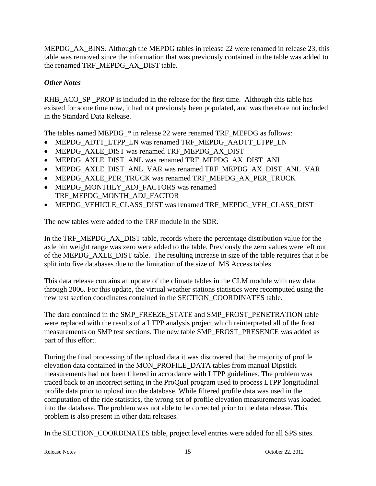MEPDG\_AX\_BINS. Although the MEPDG tables in release 22 were renamed in release 23, this table was removed since the information that was previously contained in the table was added to the renamed TRF\_MEPDG\_AX\_DIST table.

# *Other Notes*

RHB\_ACO\_SP \_PROP is included in the release for the first time. Although this table has existed for some time now, it had not previously been populated, and was therefore not included in the Standard Data Release.

The tables named MEPDG\_\* in release 22 were renamed TRF\_MEPDG as follows:

- MEPDG\_ADTT\_LTPP\_LN was renamed TRF\_MEPDG\_AADTT\_LTPP\_LN
- MEPDG\_AXLE\_DIST was renamed TRF\_MEPDG\_AX\_DIST
- MEPDG\_AXLE\_DIST\_ANL was renamed TRF\_MEPDG\_AX\_DIST\_ANL
- MEPDG\_AXLE\_DIST\_ANL\_VAR was renamed TRF\_MEPDG\_AX\_DIST\_ANL\_VAR
- MEPDG\_AXLE\_PER\_TRUCK was renamed TRF\_MEPDG\_AX\_PER\_TRUCK
- MEPDG\_MONTHLY\_ADJ\_FACTORS was renamed TRF\_MEPDG\_MONTH\_ADJ\_FACTOR
- MEPDG\_VEHICLE\_CLASS\_DIST was renamed TRF\_MEPDG\_VEH\_CLASS\_DIST

The new tables were added to the TRF module in the SDR.

In the TRF\_MEPDG\_AX\_DIST table, records where the percentage distribution value for the axle bin weight range was zero were added to the table. Previously the zero values were left out of the MEPDG\_AXLE\_DIST table. The resulting increase in size of the table requires that it be split into five databases due to the limitation of the size of MS Access tables.

This data release contains an update of the climate tables in the CLM module with new data through 2006. For this update, the virtual weather stations statistics were recomputed using the new test section coordinates contained in the SECTION\_COORDINATES table.

The data contained in the SMP\_FREEZE\_STATE and SMP\_FROST\_PENETRATION table were replaced with the results of a LTPP analysis project which reinterpreted all of the frost measurements on SMP test sections. The new table SMP\_FROST\_PRESENCE was added as part of this effort.

During the final processing of the upload data it was discovered that the majority of profile elevation data contained in the MON\_PROFILE\_DATA tables from manual Dipstick measurements had not been filtered in accordance with LTPP guidelines. The problem was traced back to an incorrect setting in the ProQual program used to process LTPP longitudinal profile data prior to upload into the database. While filtered profile data was used in the computation of the ride statistics, the wrong set of profile elevation measurements was loaded into the database. The problem was not able to be corrected prior to the data release. This problem is also present in other data releases.

In the SECTION\_COORDINATES table, project level entries were added for all SPS sites.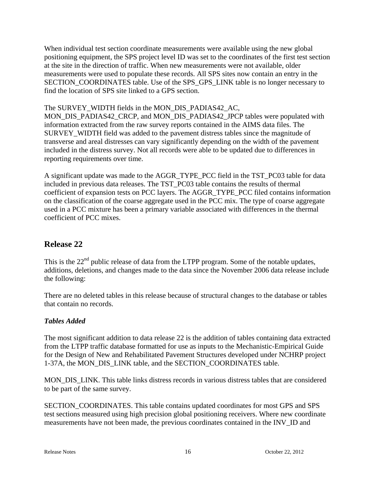When individual test section coordinate measurements were available using the new global positioning equipment, the SPS project level ID was set to the coordinates of the first test section at the site in the direction of traffic. When new measurements were not available, older measurements were used to populate these records. All SPS sites now contain an entry in the SECTION\_COORDINATES table. Use of the SPS\_GPS\_LINK table is no longer necessary to find the location of SPS site linked to a GPS section.

The SURVEY\_WIDTH fields in the MON\_DIS\_PADIAS42\_AC,

MON\_DIS\_PADIAS42\_CRCP, and MON\_DIS\_PADIAS42\_JPCP tables were populated with information extracted from the raw survey reports contained in the AIMS data files. The SURVEY\_WIDTH field was added to the pavement distress tables since the magnitude of transverse and areal distresses can vary significantly depending on the width of the pavement included in the distress survey. Not all records were able to be updated due to differences in reporting requirements over time.

A significant update was made to the AGGR\_TYPE\_PCC field in the TST\_PC03 table for data included in previous data releases. The TST\_PC03 table contains the results of thermal coefficient of expansion tests on PCC layers. The AGGR\_TYPE\_PCC filed contains information on the classification of the coarse aggregate used in the PCC mix. The type of coarse aggregate used in a PCC mixture has been a primary variable associated with differences in the thermal coefficient of PCC mixes.

# **Release 22**

This is the  $22<sup>nd</sup>$  public release of data from the LTPP program. Some of the notable updates, additions, deletions, and changes made to the data since the November 2006 data release include the following:

There are no deleted tables in this release because of structural changes to the database or tables that contain no records.

# *Tables Added*

The most significant addition to data release 22 is the addition of tables containing data extracted from the LTPP traffic database formatted for use as inputs to the Mechanistic-Empirical Guide for the Design of New and Rehabilitated Pavement Structures developed under NCHRP project 1-37A, the MON\_DIS\_LINK table, and the SECTION\_COORDINATES table.

MON DIS LINK. This table links distress records in various distress tables that are considered to be part of the same survey.

SECTION\_COORDINATES. This table contains updated coordinates for most GPS and SPS test sections measured using high precision global positioning receivers. Where new coordinate measurements have not been made, the previous coordinates contained in the INV\_ID and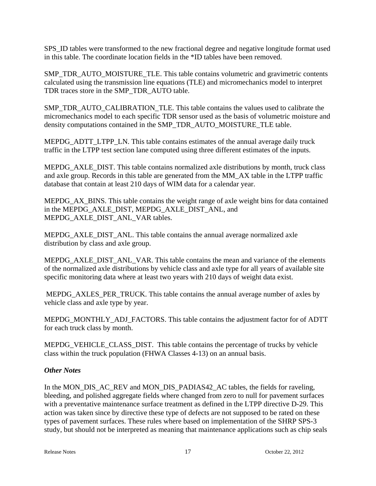SPS\_ID tables were transformed to the new fractional degree and negative longitude format used in this table. The coordinate location fields in the \*ID tables have been removed.

SMP\_TDR\_AUTO\_MOISTURE\_TLE. This table contains volumetric and gravimetric contents calculated using the transmission line equations (TLE) and micromechanics model to interpret TDR traces store in the SMP\_TDR\_AUTO table.

SMP\_TDR\_AUTO\_CALIBRATION\_TLE. This table contains the values used to calibrate the micromechanics model to each specific TDR sensor used as the basis of volumetric moisture and density computations contained in the SMP\_TDR\_AUTO\_MOISTURE\_TLE table.

MEPDG\_ADTT\_LTPP\_LN. This table contains estimates of the annual average daily truck traffic in the LTPP test section lane computed using three different estimates of the inputs.

MEPDG\_AXLE\_DIST. This table contains normalized axle distributions by month, truck class and axle group. Records in this table are generated from the MM\_AX table in the LTPP traffic database that contain at least 210 days of WIM data for a calendar year.

MEPDG\_AX\_BINS. This table contains the weight range of axle weight bins for data contained in the MEPDG\_AXLE\_DIST, MEPDG\_AXLE\_DIST\_ANL, and MEPDG\_AXLE\_DIST\_ANL\_VAR tables.

MEPDG\_AXLE\_DIST\_ANL. This table contains the annual average normalized axle distribution by class and axle group.

MEPDG\_AXLE\_DIST\_ANL\_VAR. This table contains the mean and variance of the elements of the normalized axle distributions by vehicle class and axle type for all years of available site specific monitoring data where at least two years with 210 days of weight data exist.

MEPDG\_AXLES\_PER\_TRUCK. This table contains the annual average number of axles by vehicle class and axle type by year.

MEPDG\_MONTHLY\_ADJ\_FACTORS. This table contains the adjustment factor for of ADTT for each truck class by month.

MEPDG\_VEHICLE\_CLASS\_DIST. This table contains the percentage of trucks by vehicle class within the truck population (FHWA Classes 4-13) on an annual basis.

# *Other Notes*

In the MON\_DIS\_AC\_REV and MON\_DIS\_PADIAS42\_AC tables, the fields for raveling, bleeding, and polished aggregate fields where changed from zero to null for pavement surfaces with a preventative maintenance surface treatment as defined in the LTPP directive D-29. This action was taken since by directive these type of defects are not supposed to be rated on these types of pavement surfaces. These rules where based on implementation of the SHRP SPS-3 study, but should not be interpreted as meaning that maintenance applications such as chip seals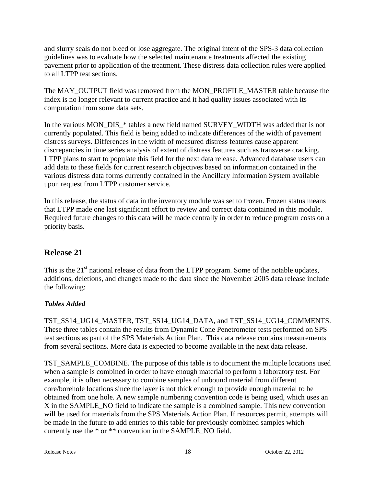and slurry seals do not bleed or lose aggregate. The original intent of the SPS-3 data collection guidelines was to evaluate how the selected maintenance treatments affected the existing pavement prior to application of the treatment. These distress data collection rules were applied to all LTPP test sections.

The MAY\_OUTPUT field was removed from the MON\_PROFILE\_MASTER table because the index is no longer relevant to current practice and it had quality issues associated with its computation from some data sets.

In the various MON\_DIS\_\* tables a new field named SURVEY\_WIDTH was added that is not currently populated. This field is being added to indicate differences of the width of pavement distress surveys. Differences in the width of measured distress features cause apparent discrepancies in time series analysis of extent of distress features such as transverse cracking. LTPP plans to start to populate this field for the next data release. Advanced database users can add data to these fields for current research objectives based on information contained in the various distress data forms currently contained in the Ancillary Information System available upon request from LTPP customer service.

In this release, the status of data in the inventory module was set to frozen. Frozen status means that LTPP made one last significant effort to review and correct data contained in this module. Required future changes to this data will be made centrally in order to reduce program costs on a priority basis.

# **Release 21**

This is the  $21<sup>st</sup>$  national release of data from the LTPP program. Some of the notable updates, additions, deletions, and changes made to the data since the November 2005 data release include the following:

# *Tables Added*

TST\_SS14\_UG14\_MASTER, TST\_SS14\_UG14\_DATA, and TST\_SS14\_UG14\_COMMENTS. These three tables contain the results from Dynamic Cone Penetrometer tests performed on SPS test sections as part of the SPS Materials Action Plan. This data release contains measurements from several sections. More data is expected to become available in the next data release.

TST\_SAMPLE\_COMBINE. The purpose of this table is to document the multiple locations used when a sample is combined in order to have enough material to perform a laboratory test. For example, it is often necessary to combine samples of unbound material from different core/borehole locations since the layer is not thick enough to provide enough material to be obtained from one hole. A new sample numbering convention code is being used, which uses an X in the SAMPLE\_NO field to indicate the sample is a combined sample. This new convention will be used for materials from the SPS Materials Action Plan. If resources permit, attempts will be made in the future to add entries to this table for previously combined samples which currently use the \* or \*\* convention in the SAMPLE\_NO field.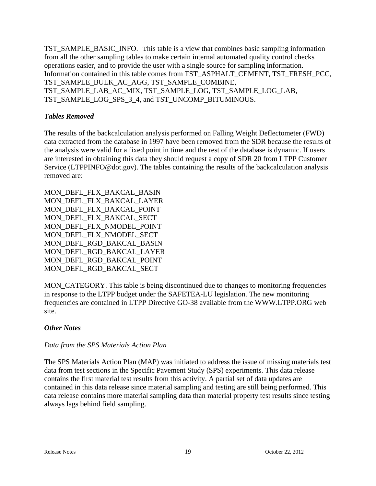TST\_SAMPLE\_BASIC\_INFO. This table is a view that combines basic sampling information from all the other sampling tables to make certain internal automated quality control checks operations easier, and to provide the user with a single source for sampling information. Information contained in this table comes from TST\_ASPHALT\_CEMENT, TST\_FRESH\_PCC, TST\_SAMPLE\_BULK\_AC\_AGG, TST\_SAMPLE\_COMBINE, TST\_SAMPLE\_LAB\_AC\_MIX, TST\_SAMPLE\_LOG, TST\_SAMPLE\_LOG\_LAB, TST\_SAMPLE\_LOG\_SPS\_3\_4, and TST\_UNCOMP\_BITUMINOUS.

#### *Tables Removed*

The results of the backcalculation analysis performed on Falling Weight Deflectometer (FWD) data extracted from the database in 1997 have been removed from the SDR because the results of the analysis were valid for a fixed point in time and the rest of the database is dynamic. If users are interested in obtaining this data they should request a copy of SDR 20 from LTPP Customer Service (LTPPINFO@dot.gov). The tables containing the results of the backcalculation analysis removed are:

MON\_DEFL\_FLX\_BAKCAL\_BASIN MON\_DEFL\_FLX\_BAKCAL\_LAYER MON\_DEFL\_FLX\_BAKCAL\_POINT MON\_DEFL\_FLX\_BAKCAL\_SECT MON\_DEFL\_FLX\_NMODEL\_POINT MON DEFL FLX NMODEL SECT MON\_DEFL\_RGD\_BAKCAL\_BASIN MON\_DEFL\_RGD\_BAKCAL\_LAYER MON\_DEFL\_RGD\_BAKCAL\_POINT MON\_DEFL\_RGD\_BAKCAL\_SECT

MON CATEGORY. This table is being discontinued due to changes to monitoring frequencies in response to the LTPP budget under the SAFETEA-LU legislation. The new monitoring frequencies are contained in LTPP Directive GO-38 available from the WWW.LTPP.ORG web site.

#### *Other Notes*

#### *Data from the SPS Materials Action Plan*

The SPS Materials Action Plan (MAP) was initiated to address the issue of missing materials test data from test sections in the Specific Pavement Study (SPS) experiments. This data release contains the first material test results from this activity. A partial set of data updates are contained in this data release since material sampling and testing are still being performed. This data release contains more material sampling data than material property test results since testing always lags behind field sampling.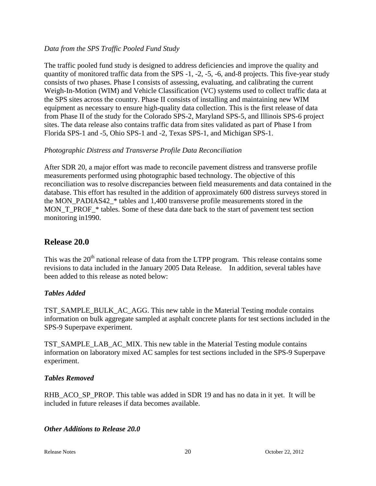#### *Data from the SPS Traffic Pooled Fund Study*

The traffic pooled fund study is designed to address deficiencies and improve the quality and quantity of monitored traffic data from the SPS -1, -2, -5, -6, and-8 projects. This five-year study consists of two phases. Phase I consists of assessing, evaluating, and calibrating the current Weigh-In-Motion (WIM) and Vehicle Classification (VC) systems used to collect traffic data at the SPS sites across the country. Phase II consists of installing and maintaining new WIM equipment as necessary to ensure high-quality data collection. This is the first release of data from Phase II of the study for the Colorado SPS-2, Maryland SPS-5, and Illinois SPS-6 project sites. The data release also contains traffic data from sites validated as part of Phase I from Florida SPS-1 and -5, Ohio SPS-1 and -2, Texas SPS-1, and Michigan SPS-1.

#### *Photographic Distress and Transverse Profile Data Reconciliation*

After SDR 20, a major effort was made to reconcile pavement distress and transverse profile measurements performed using photographic based technology. The objective of this reconciliation was to resolve discrepancies between field measurements and data contained in the database. This effort has resulted in the addition of approximately 600 distress surveys stored in the MON\_PADIAS42\_\* tables and 1,400 transverse profile measurements stored in the MON\_T\_PROF\_\* tables. Some of these data date back to the start of pavement test section monitoring in1990.

# **Release 20.0**

This was the  $20<sup>th</sup>$  national release of data from the LTPP program. This release contains some revisions to data included in the January 2005 Data Release. In addition, several tables have been added to this release as noted below:

#### *Tables Added*

TST\_SAMPLE\_BULK\_AC\_AGG. This new table in the Material Testing module contains information on bulk aggregate sampled at asphalt concrete plants for test sections included in the SPS-9 Superpave experiment.

TST\_SAMPLE\_LAB\_AC\_MIX. This new table in the Material Testing module contains information on laboratory mixed AC samples for test sections included in the SPS-9 Superpave experiment.

#### *Tables Removed*

RHB\_ACO\_SP\_PROP. This table was added in SDR 19 and has no data in it yet. It will be included in future releases if data becomes available.

#### *Other Additions to Release 20.0*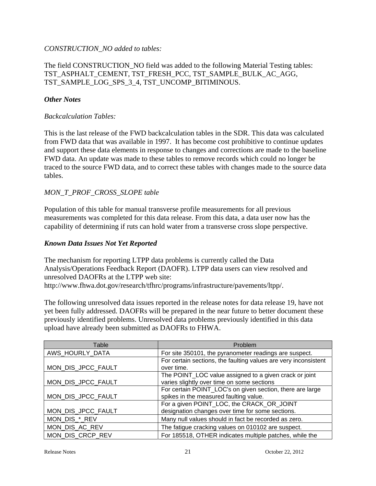#### *CONSTRUCTION\_NO added to tables:*

#### The field CONSTRUCTION\_NO field was added to the following Material Testing tables: TST\_ASPHALT\_CEMENT, TST\_FRESH\_PCC, TST\_SAMPLE\_BULK\_AC\_AGG, TST\_SAMPLE\_LOG\_SPS\_3\_4, TST\_UNCOMP\_BITIMINOUS.

#### *Other Notes*

#### *Backcalculation Tables:*

This is the last release of the FWD backcalculation tables in the SDR. This data was calculated from FWD data that was available in 1997. It has become cost prohibitive to continue updates and support these data elements in response to changes and corrections are made to the baseline FWD data. An update was made to these tables to remove records which could no longer be traced to the source FWD data, and to correct these tables with changes made to the source data tables.

#### *MON\_T\_PROF\_CROSS\_SLOPE table*

Population of this table for manual transverse profile measurements for all previous measurements was completed for this data release. From this data, a data user now has the capability of determining if ruts can hold water from a transverse cross slope perspective.

#### *Known Data Issues Not Yet Reported*

The mechanism for reporting LTPP data problems is currently called the Data Analysis/Operations Feedback Report (DAOFR). LTPP data users can view resolved and unresolved DAOFRs at the LTPP web site: http://www.fhwa.dot.gov/research/tfhrc/programs/infrastructure/pavements/ltpp/.

The following unresolved data issues reported in the release notes for data release 19, have not yet been fully addressed. DAOFRs will be prepared in the near future to better document these previously identified problems. Unresolved data problems previously identified in this data upload have already been submitted as DAOFRs to FHWA.

| Table              | Problem                                                         |
|--------------------|-----------------------------------------------------------------|
| AWS_HOURLY_DATA    | For site 350101, the pyranometer readings are suspect.          |
|                    | For certain sections, the faulting values are very inconsistent |
| MON_DIS_JPCC_FAULT | over time.                                                      |
|                    | The POINT_LOC value assigned to a given crack or joint          |
| MON_DIS_JPCC_FAULT | varies slightly over time on some sections                      |
|                    | For certain POINT_LOC's on given section, there are large       |
| MON_DIS_JPCC_FAULT | spikes in the measured faulting value.                          |
|                    | For a given POINT_LOC, the CRACK_OR_JOINT                       |
| MON_DIS_JPCC_FAULT | designation changes over time for some sections.                |
| MON_DIS_*_REV      | Many null values should in fact be recorded as zero.            |
| MON_DIS_AC_REV     | The fatigue cracking values on 010102 are suspect.              |
| MON DIS CRCP REV   | For 185518, OTHER indicates multiple patches, while the         |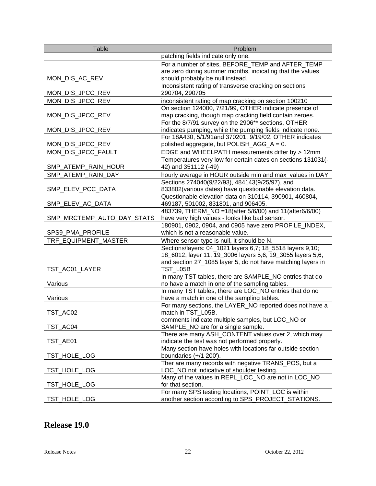| <b>Table</b>               | Problem                                                                                                           |
|----------------------------|-------------------------------------------------------------------------------------------------------------------|
|                            | patching fields indicate only one.                                                                                |
|                            | For a number of sites, BEFORE TEMP and AFTER TEMP                                                                 |
|                            | are zero during summer months, indicating that the values                                                         |
| MON_DIS_AC_REV             | should probably be null instead.                                                                                  |
|                            | Inconsistent rating of transverse cracking on sections                                                            |
| MON_DIS_JPCC_REV           | 290704, 290705                                                                                                    |
| MON_DIS_JPCC_REV           | inconsistent rating of map cracking on section 100210                                                             |
| MON_DIS_JPCC_REV           | On section 124000, 7/21/99, OTHER indicate presence of<br>map cracking, though map cracking field contain zeroes. |
|                            | For the 8/7/91 survey on the 2906** sections, OTHER                                                               |
| MON_DIS_JPCC_REV           | indicates pumping, while the pumping fields indicate none.                                                        |
|                            | For 18A430, 5/1/91and 370201, 9/19/02, OTHER indicates                                                            |
| MON_DIS_JPCC_REV           | polished aggregate, but POLISH_AGG_A = 0.                                                                         |
| MON_DIS_JPCC_FAULT         | EDGE and WHEELPATH measurements differ by > 12mm                                                                  |
|                            | Temperatures very low for certain dates on sections 131031(-                                                      |
| SMP_ATEMP_RAIN_HOUR        | 42) and 351112 (-49)                                                                                              |
| SMP_ATEMP_RAIN_DAY         | hourly average in HOUR outside min and max values in DAY                                                          |
|                            | Sections 274040(9/22/93), 484143(9/25/97), and                                                                    |
| SMP_ELEV_PCC_DATA          | 833802(various dates) have questionable elevation data.                                                           |
|                            | Questionable elevation data on 310114, 390901, 460804,                                                            |
| SMP_ELEV_AC_DATA           | 469187, 501002, 831801, and 906405.                                                                               |
|                            | 483739, THERM_NO = 18(after 5/6/00) and 11(after6/6/00)                                                           |
| SMP_MRCTEMP_AUTO_DAY_STATS | have very high values - looks like bad sensor.<br>180901, 0902, 0904, and 0905 have zero PROFILE_INDEX,           |
| SPS9_PMA_PROFILE           | which is not a reasonable value.                                                                                  |
| TRF_EQUIPMENT_MASTER       | Where sensor type is null, it should be N.                                                                        |
|                            | Sections/layers: 04_1021 layers 6,7; 18_5518 layers 9,10;                                                         |
|                            | 18_6012, layer 11; 19_3006 layers 5,6; 19_3055 layers 5,6;                                                        |
|                            | and section 27_1085 layer 5, do not have matching layers in                                                       |
| TST_AC01_LAYER             | TST_L05B                                                                                                          |
|                            | In many TST tables, there are SAMPLE_NO entries that do                                                           |
| Various                    | no have a match in one of the sampling tables.                                                                    |
|                            | In many TST tables, there are LOC_NO entries that do no                                                           |
| Various                    | have a match in one of the sampling tables.                                                                       |
| TST_AC02                   | For many sections, the LAYER_NO reported does not have a<br>match in TST_L05B.                                    |
|                            | comments indicate multiple samples, but LOC_NO or                                                                 |
| TST_AC04                   | SAMPLE_NO are for a single sample.                                                                                |
|                            | There are many ASH_CONTENT values over 2, which may                                                               |
| TST_AE01                   | indicate the test was not performed properly.                                                                     |
|                            | Many section have holes with locations far outside section                                                        |
| TST_HOLE_LOG               | boundaries $(+/1 200')$ .                                                                                         |
|                            | Ther are many records with negative TRANS_POS, but a                                                              |
| TST_HOLE_LOG               | LOC_NO not indicative of shoulder testing.                                                                        |
|                            | Many of the values in REPL_LOC_NO are not in LOC_NO                                                               |
| TST_HOLE_LOG               | for that section.                                                                                                 |
|                            | For many SPS testing locations, POINT_LOC is within                                                               |
| TST_HOLE_LOG               | another section according to SPS_PROJECT_STATIONS.                                                                |

# **Release 19.0**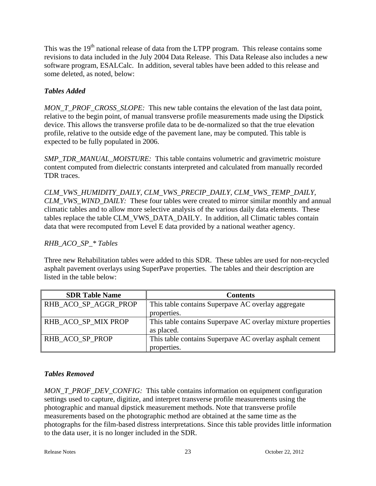This was the 19<sup>th</sup> national release of data from the LTPP program. This release contains some revisions to data included in the July 2004 Data Release. This Data Release also includes a new software program, ESALCalc. In addition, several tables have been added to this release and some deleted, as noted, below:

# *Tables Added*

*MON\_T\_PROF\_CROSS\_SLOPE:* This new table contains the elevation of the last data point, relative to the begin point, of manual transverse profile measurements made using the Dipstick device. This allows the transverse profile data to be de-normalized so that the true elevation profile, relative to the outside edge of the pavement lane, may be computed. This table is expected to be fully populated in 2006.

*SMP\_TDR\_MANUAL\_MOISTURE:* This table contains volumetric and gravimetric moisture content computed from dielectric constants interpreted and calculated from manually recorded TDR traces.

*CLM\_VWS\_HUMIDITY\_DAILY, CLM\_VWS\_PRECIP\_DAILY, CLM\_VWS\_TEMP\_DAILY, CLM\_VWS\_WIND\_DAILY:* These four tables were created to mirror similar monthly and annual climatic tables and to allow more selective analysis of the various daily data elements. These tables replace the table CLM\_VWS\_DATA\_DAILY. In addition, all Climatic tables contain data that were recomputed from Level E data provided by a national weather agency.

# *RHB\_ACO\_SP\_\* Tables*

Three new Rehabilitation tables were added to this SDR. These tables are used for non-recycled asphalt pavement overlays using SuperPave properties. The tables and their description are listed in the table below:

| <b>SDR Table Name</b> | <b>Contents</b>                                             |
|-----------------------|-------------------------------------------------------------|
| RHB_ACO_SP_AGGR_PROP  | This table contains Superpave AC overlay aggregate          |
|                       | properties.                                                 |
| RHB ACO SP MIX PROP   | This table contains Superpave AC overlay mixture properties |
|                       | as placed.                                                  |
| RHB ACO SP PROP       | This table contains Superpave AC overlay asphalt cement     |
|                       | properties.                                                 |

# *Tables Removed*

*MON\_T\_PROF\_DEV\_CONFIG:* This table contains information on equipment configuration settings used to capture, digitize, and interpret transverse profile measurements using the photographic and manual dipstick measurement methods. Note that transverse profile measurements based on the photographic method are obtained at the same time as the photographs for the film-based distress interpretations. Since this table provides little information to the data user, it is no longer included in the SDR.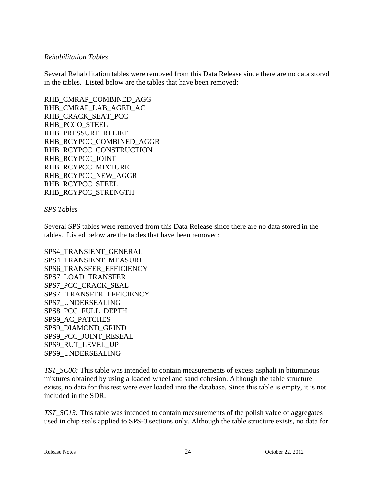#### *Rehabilitation Tables*

Several Rehabilitation tables were removed from this Data Release since there are no data stored in the tables. Listed below are the tables that have been removed:

RHB\_CMRAP\_COMBINED\_AGG RHB\_CMRAP\_LAB\_AGED\_AC RHB\_CRACK\_SEAT\_PCC RHB\_PCCO\_STEEL RHB\_PRESSURE\_RELIEF RHB\_RCYPCC\_COMBINED\_AGGR RHB\_RCYPCC\_CONSTRUCTION RHB\_RCYPCC\_JOINT RHB\_RCYPCC\_MIXTURE RHB\_RCYPCC\_NEW\_AGGR RHB\_RCYPCC\_STEEL RHB\_RCYPCC\_STRENGTH

#### *SPS Tables*

Several SPS tables were removed from this Data Release since there are no data stored in the tables. Listed below are the tables that have been removed:

SPS4\_TRANSIENT\_GENERAL SPS4\_TRANSIENT\_MEASURE SPS6\_TRANSFER\_EFFICIENCY SPS7\_LOAD\_TRANSFER SPS7\_PCC\_CRACK\_SEAL SPS7\_ TRANSFER\_EFFICIENCY SPS7\_UNDERSEALING SPS8\_PCC\_FULL\_DEPTH SPS9\_AC\_PATCHES SPS9\_DIAMOND\_GRIND SPS9\_PCC\_JOINT\_RESEAL SPS9\_RUT\_LEVEL\_UP SPS9\_UNDERSEALING

*TST\_SC06:* This table was intended to contain measurements of excess asphalt in bituminous mixtures obtained by using a loaded wheel and sand cohesion. Although the table structure exists, no data for this test were ever loaded into the database. Since this table is empty, it is not included in the SDR.

*TST\_SC13:* This table was intended to contain measurements of the polish value of aggregates used in chip seals applied to SPS-3 sections only. Although the table structure exists, no data for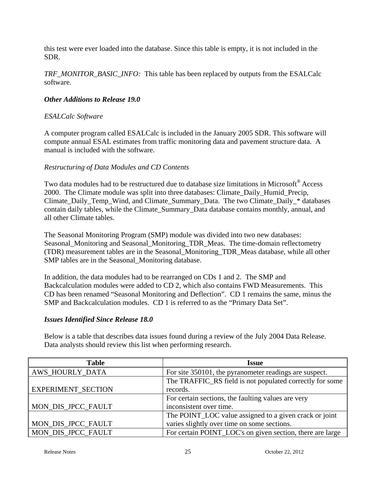this test were ever loaded into the database. Since this table is empty, it is not included in the SDR.

*TRF\_MONITOR\_BASIC\_INFO:* This table has been replaced by outputs from the ESALCalc software.

#### *Other Additions to Release 19.0*

#### *ESALCalc Software*

A computer program called ESALCalc is included in the January 2005 SDR. This software will compute annual ESAL estimates from traffic monitoring data and pavement structure data. A manual is included with the software.

#### *Restructuring of Data Modules and CD Contents*

Two data modules had to be restructured due to database size limitations in Microsoft® Access 2000. The Climate module was split into three databases: Climate\_Daily\_Humid\_Precip, Climate\_Daily\_Temp\_Wind, and Climate\_Summary\_Data. The two Climate\_Daily\_\* databases contain daily tables, while the Climate\_Summary\_Data database contains monthly, annual, and all other Climate tables.

The Seasonal Monitoring Program (SMP) module was divided into two new databases: Seasonal Monitoring and Seasonal Monitoring TDR Meas. The time-domain reflectometry (TDR) measurement tables are in the Seasonal\_Monitoring\_TDR\_Meas database, while all other SMP tables are in the Seasonal\_Monitoring database.

In addition, the data modules had to be rearranged on CDs 1 and 2. The SMP and Backcalculation modules were added to CD 2, which also contains FWD Measurements. This CD has been renamed "Seasonal Monitoring and Deflection". CD 1 remains the same, minus the SMP and Backcalculation modules. CD 1 is referred to as the "Primary Data Set".

#### *Issues Identified Since Release 18.0*

Below is a table that describes data issues found during a review of the July 2004 Data Release. Data analysts should review this list when performing research.

| <b>Table</b>           | <b>Issue</b>                                              |
|------------------------|-----------------------------------------------------------|
| <b>AWS_HOURLY_DATA</b> | For site 350101, the pyranometer readings are suspect.    |
|                        | The TRAFFIC_RS field is not populated correctly for some  |
| EXPERIMENT_SECTION     | records.                                                  |
|                        | For certain sections, the faulting values are very        |
| MON_DIS_JPCC_FAULT     | inconsistent over time.                                   |
|                        | The POINT_LOC value assigned to a given crack or joint    |
| MON_DIS_JPCC_FAULT     | varies slightly over time on some sections.               |
| MON_DIS_JPCC_FAULT     | For certain POINT_LOC's on given section, there are large |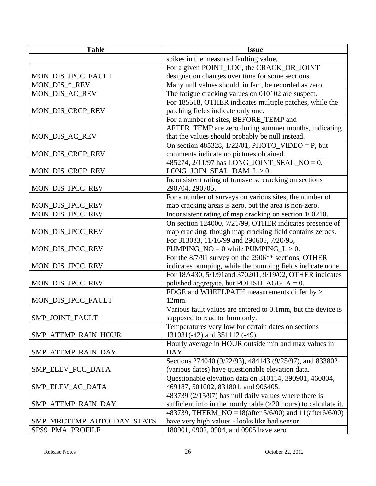| <b>Table</b>               | <b>Issue</b>                                                       |
|----------------------------|--------------------------------------------------------------------|
|                            | spikes in the measured faulting value.                             |
|                            | For a given POINT_LOC, the CRACK_OR_JOINT                          |
| MON_DIS_JPCC_FAULT         | designation changes over time for some sections.                   |
| MON_DIS_*_REV              | Many null values should, in fact, be recorded as zero.             |
| MON_DIS_AC_REV             | The fatigue cracking values on 010102 are suspect.                 |
|                            | For 185518, OTHER indicates multiple patches, while the            |
| MON_DIS_CRCP_REV           | patching fields indicate only one.                                 |
|                            | For a number of sites, BEFORE_TEMP and                             |
|                            | AFTER_TEMP are zero during summer months, indicating               |
| MON_DIS_AC_REV             | that the values should probably be null instead.                   |
|                            | On section 485328, $1/22/01$ , PHOTO_VIDEO = P, but                |
| MON_DIS_CRCP_REV           | comments indicate no pictures obtained.                            |
|                            | 485274, 2/11/97 has LONG_JOINT_SEAL_NO = 0,                        |
| MON_DIS_CRCP_REV           | $LONG_JOIN_SEAL_DAM_L > 0.$                                        |
|                            | Inconsistent rating of transverse cracking on sections             |
| MON_DIS_JPCC_REV           | 290704, 290705.                                                    |
|                            | For a number of surveys on various sites, the number of            |
| MON_DIS_JPCC_REV           | map cracking areas is zero, but the area is non-zero.              |
| MON_DIS_JPCC_REV           | Inconsistent rating of map cracking on section 100210.             |
|                            | On section 124000, 7/21/99, OTHER indicates presence of            |
| MON_DIS_JPCC_REV           | map cracking, though map cracking field contains zeroes.           |
|                            | For 313033, 11/16/99 and 290605, 7/20/95,                          |
| MON_DIS_JPCC_REV           | PUMPING_NO = $0$ while PUMPING_L > 0.                              |
|                            | For the 8/7/91 survey on the 2906** sections, OTHER                |
| MON_DIS_JPCC_REV           | indicates pumping, while the pumping fields indicate none.         |
|                            | For 18A430, 5/1/91and 370201, 9/19/02, OTHER indicates             |
| MON_DIS_JPCC_REV           | polished aggregate, but POLISH_AGG_A = $0$ .                       |
|                            | EDGE and WHEELPATH measurements differ by >                        |
| MON_DIS_JPCC_FAULT         | 12mm.                                                              |
|                            | Various fault values are entered to 0.1mm, but the device is       |
| SMP_JOINT_FAULT            | supposed to read to 1mm only.                                      |
|                            | Temperatures very low for certain dates on sections                |
| SMP_ATEMP_RAIN_HOUR        | 131031(-42) and 351112 (-49).                                      |
|                            | Hourly average in HOUR outside min and max values in               |
| SMP_ATEMP_RAIN_DAY         | DAY.                                                               |
|                            | Sections 274040 (9/22/93), 484143 (9/25/97), and 833802            |
| SMP ELEV PCC DATA          | (various dates) have questionable elevation data.                  |
|                            | Questionable elevation data on 310114, 390901, 460804,             |
| SMP_ELEV_AC_DATA           | 469187, 501002, 831801, and 906405.                                |
|                            | 483739 (2/15/97) has null daily values where there is              |
| SMP_ATEMP_RAIN_DAY         | sufficient info in the hourly table $(>20$ hours) to calculate it. |
|                            | 483739, THERM_NO = 18(after 5/6/00) and 11(after 6/6/00)           |
| SMP_MRCTEMP_AUTO_DAY_STATS | have very high values - looks like bad sensor.                     |
| SPS9_PMA_PROFILE           | 180901, 0902, 0904, and 0905 have zero                             |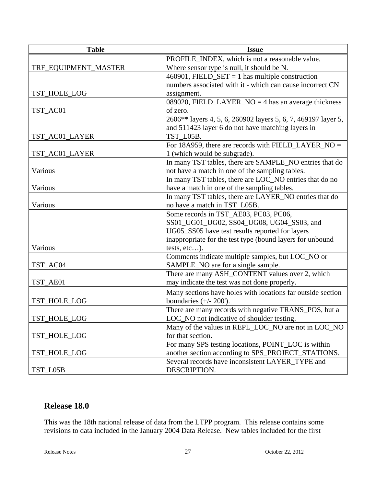| <b>Table</b>         | <b>Issue</b>                                                  |
|----------------------|---------------------------------------------------------------|
|                      | PROFILE_INDEX, which is not a reasonable value.               |
| TRF_EQUIPMENT_MASTER | Where sensor type is null, it should be N.                    |
|                      | 460901, FIELD_SET = 1 has multiple construction               |
|                      | numbers associated with it - which can cause incorrect CN     |
| TST_HOLE_LOG         | assignment.                                                   |
|                      | 089020, FIELD_LAYER_NO = $4$ has an average thickness         |
| TST_AC01             | of zero.                                                      |
|                      | 2606** layers 4, 5, 6, 260902 layers 5, 6, 7, 469197 layer 5, |
|                      | and 511423 layer 6 do not have matching layers in             |
| TST_AC01_LAYER       | TST_L05B.                                                     |
|                      | For 18A959, there are records with FIELD_LAYER_NO =           |
| TST_AC01_LAYER       | 1 (which would be subgrade).                                  |
|                      | In many TST tables, there are SAMPLE_NO entries that do       |
| Various              | not have a match in one of the sampling tables.               |
|                      | In many TST tables, there are LOC_NO entries that do no       |
| Various              | have a match in one of the sampling tables.                   |
|                      | In many TST tables, there are LAYER_NO entries that do        |
| Various              | no have a match in TST_L05B.                                  |
|                      | Some records in TST_AE03, PC03, PC06,                         |
|                      | SS01_UG01_UG02, SS04_UG08, UG04_SS03, and                     |
|                      | UG05_SS05 have test results reported for layers               |
|                      | inappropriate for the test type (bound layers for unbound     |
| Various              | tests, etc).                                                  |
|                      | Comments indicate multiple samples, but LOC_NO or             |
| TST_AC04             | SAMPLE_NO are for a single sample.                            |
|                      | There are many ASH_CONTENT values over 2, which               |
| TST_AE01             | may indicate the test was not done properly.                  |
|                      | Many sections have holes with locations far outside section   |
| TST_HOLE_LOG         | boundaries $(+/- 200')$ .                                     |
|                      | There are many records with negative TRANS_POS, but a         |
| TST_HOLE_LOG         | LOC_NO not indicative of shoulder testing.                    |
|                      | Many of the values in REPL_LOC_NO are not in LOC_NO           |
| TST_HOLE_LOG         | for that section.                                             |
|                      | For many SPS testing locations, POINT_LOC is within           |
| TST_HOLE_LOG         | another section according to SPS_PROJECT_STATIONS.            |
|                      | Several records have inconsistent LAYER_TYPE and              |
| TST_L05B             | DESCRIPTION.                                                  |

# **Release 18.0**

This was the 18th national release of data from the LTPP program. This release contains some revisions to data included in the January 2004 Data Release. New tables included for the first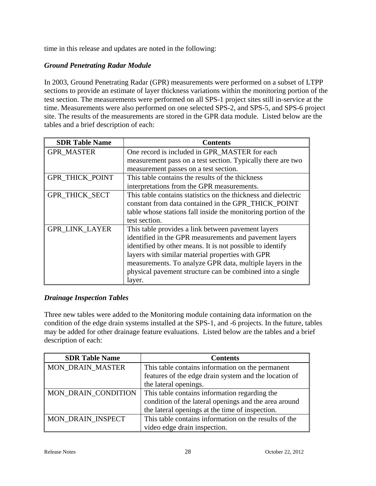time in this release and updates are noted in the following:

# *Ground Penetrating Radar Module*

In 2003, Ground Penetrating Radar (GPR) measurements were performed on a subset of LTPP sections to provide an estimate of layer thickness variations within the monitoring portion of the test section. The measurements were performed on all SPS-1 project sites still in-service at the time. Measurements were also performed on one selected SPS-2, and SPS-5, and SPS-6 project site. The results of the measurements are stored in the GPR data module. Listed below are the tables and a brief description of each:

| <b>SDR Table Name</b>  | <b>Contents</b>                                                |
|------------------------|----------------------------------------------------------------|
| <b>GPR MASTER</b>      | One record is included in GPR_MASTER for each                  |
|                        | measurement pass on a test section. Typically there are two    |
|                        | measurement passes on a test section.                          |
| <b>GPR THICK POINT</b> | This table contains the results of the thickness               |
|                        | interpretations from the GPR measurements.                     |
| <b>GPR THICK SECT</b>  | This table contains statistics on the thickness and dielectric |
|                        | constant from data contained in the GPR_THICK_POINT            |
|                        | table whose stations fall inside the monitoring portion of the |
|                        | test section.                                                  |
| <b>GPR LINK LAYER</b>  | This table provides a link between pavement layers             |
|                        | identified in the GPR measurements and pavement layers         |
|                        | identified by other means. It is not possible to identify      |
|                        | layers with similar material properties with GPR               |
|                        | measurements. To analyze GPR data, multiple layers in the      |
|                        | physical pavement structure can be combined into a single      |
|                        | layer.                                                         |

# *Drainage Inspection Tables*

Three new tables were added to the Monitoring module containing data information on the condition of the edge drain systems installed at the SPS-1, and -6 projects. In the future, tables may be added for other drainage feature evaluations. Listed below are the tables and a brief description of each:

| <b>SDR Table Name</b>      | <b>Contents</b>                                       |
|----------------------------|-------------------------------------------------------|
| <b>MON_DRAIN_MASTER</b>    | This table contains information on the permanent      |
|                            | features of the edge drain system and the location of |
|                            | the lateral openings.                                 |
| <b>MON DRAIN CONDITION</b> | This table contains information regarding the         |
|                            | condition of the lateral openings and the area around |
|                            | the lateral openings at the time of inspection.       |
| MON DRAIN INSPECT          | This table contains information on the results of the |
|                            | video edge drain inspection.                          |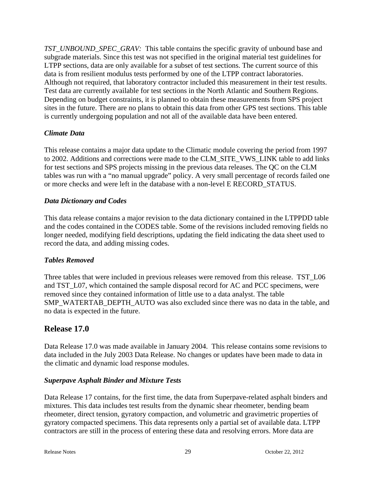*TST\_UNBOUND\_SPEC\_GRAV:* This table contains the specific gravity of unbound base and subgrade materials. Since this test was not specified in the original material test guidelines for LTPP sections, data are only available for a subset of test sections. The current source of this data is from resilient modulus tests performed by one of the LTPP contract laboratories. Although not required, that laboratory contractor included this measurement in their test results. Test data are currently available for test sections in the North Atlantic and Southern Regions. Depending on budget constraints, it is planned to obtain these measurements from SPS project sites in the future. There are no plans to obtain this data from other GPS test sections. This table is currently undergoing population and not all of the available data have been entered.

# *Climate Data*

This release contains a major data update to the Climatic module covering the period from 1997 to 2002. Additions and corrections were made to the CLM\_SITE\_VWS\_LINK table to add links for test sections and SPS projects missing in the previous data releases. The QC on the CLM tables was run with a "no manual upgrade" policy. A very small percentage of records failed one or more checks and were left in the database with a non-level E RECORD\_STATUS.

#### *Data Dictionary and Codes*

This data release contains a major revision to the data dictionary contained in the LTPPDD table and the codes contained in the CODES table. Some of the revisions included removing fields no longer needed, modifying field descriptions, updating the field indicating the data sheet used to record the data, and adding missing codes.

#### *Tables Removed*

Three tables that were included in previous releases were removed from this release. TST L06 and TST L07, which contained the sample disposal record for AC and PCC specimens, were removed since they contained information of little use to a data analyst. The table SMP\_WATERTAB\_DEPTH\_AUTO was also excluded since there was no data in the table, and no data is expected in the future.

# **Release 17.0**

Data Release 17.0 was made available in January 2004. This release contains some revisions to data included in the July 2003 Data Release. No changes or updates have been made to data in the climatic and dynamic load response modules.

#### *Superpave Asphalt Binder and Mixture Tests*

Data Release 17 contains, for the first time, the data from Superpave-related asphalt binders and mixtures. This data includes test results from the dynamic shear rheometer, bending beam rheometer, direct tension, gyratory compaction, and volumetric and gravimetric properties of gyratory compacted specimens. This data represents only a partial set of available data. LTPP contractors are still in the process of entering these data and resolving errors. More data are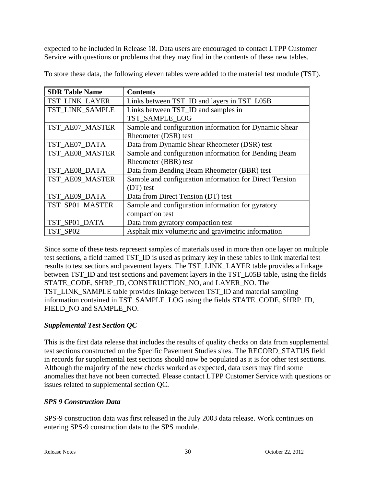expected to be included in Release 18. Data users are encouraged to contact LTPP Customer Service with questions or problems that they may find in the contents of these new tables.

| <b>SDR Table Name</b> | <b>Contents</b>                                         |
|-----------------------|---------------------------------------------------------|
| TST_LINK_LAYER        | Links between TST_ID and layers in TST_L05B             |
| TST LINK SAMPLE       | Links between TST_ID and samples in                     |
|                       | TST_SAMPLE_LOG                                          |
| TST_AE07_MASTER       | Sample and configuration information for Dynamic Shear  |
|                       | Rheometer (DSR) test                                    |
| TST_AE07_DATA         | Data from Dynamic Shear Rheometer (DSR) test            |
| TST_AE08_MASTER       | Sample and configuration information for Bending Beam   |
|                       | Rheometer (BBR) test                                    |
| TST_AE08_DATA         | Data from Bending Beam Rheometer (BBR) test             |
| TST_AE09_MASTER       | Sample and configuration information for Direct Tension |
|                       | (DT) test                                               |
| TST_AE09_DATA         | Data from Direct Tension (DT) test                      |
| TST_SP01_MASTER       | Sample and configuration information for gyratory       |
|                       | compaction test                                         |
| TST_SP01_DATA         | Data from gyratory compaction test                      |
| TST SP02              | Asphalt mix volumetric and gravimetric information      |

To store these data, the following eleven tables were added to the material test module (TST).

Since some of these tests represent samples of materials used in more than one layer on multiple test sections, a field named TST\_ID is used as primary key in these tables to link material test results to test sections and pavement layers. The TST\_LINK\_LAYER table provides a linkage between TST\_ID and test sections and pavement layers in the TST\_L05B table, using the fields STATE\_CODE, SHRP\_ID, CONSTRUCTION\_NO, and LAYER\_NO. The TST\_LINK\_SAMPLE table provides linkage between TST\_ID and material sampling information contained in TST\_SAMPLE\_LOG using the fields STATE\_CODE, SHRP\_ID, FIELD\_NO and SAMPLE\_NO.

# *Supplemental Test Section QC*

This is the first data release that includes the results of quality checks on data from supplemental test sections constructed on the Specific Pavement Studies sites. The RECORD\_STATUS field in records for supplemental test sections should now be populated as it is for other test sections. Although the majority of the new checks worked as expected, data users may find some anomalies that have not been corrected. Please contact LTPP Customer Service with questions or issues related to supplemental section QC.

# *SPS 9 Construction Data*

SPS-9 construction data was first released in the July 2003 data release. Work continues on entering SPS-9 construction data to the SPS module.